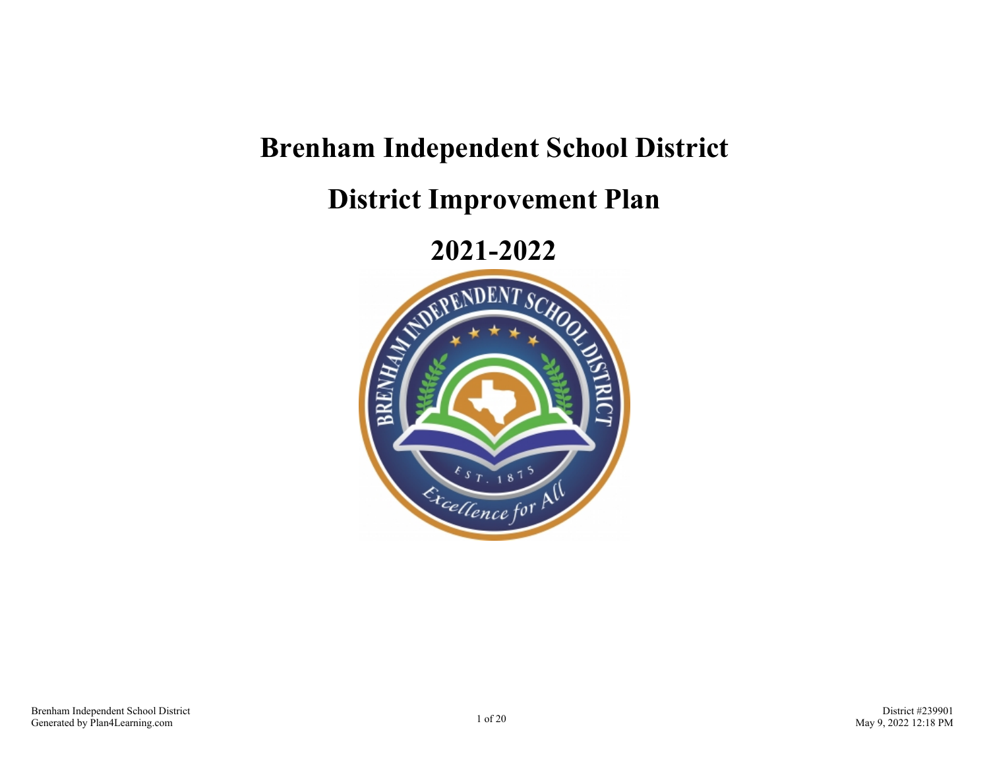# **Brenham Independent School District**

**District Improvement Plan**

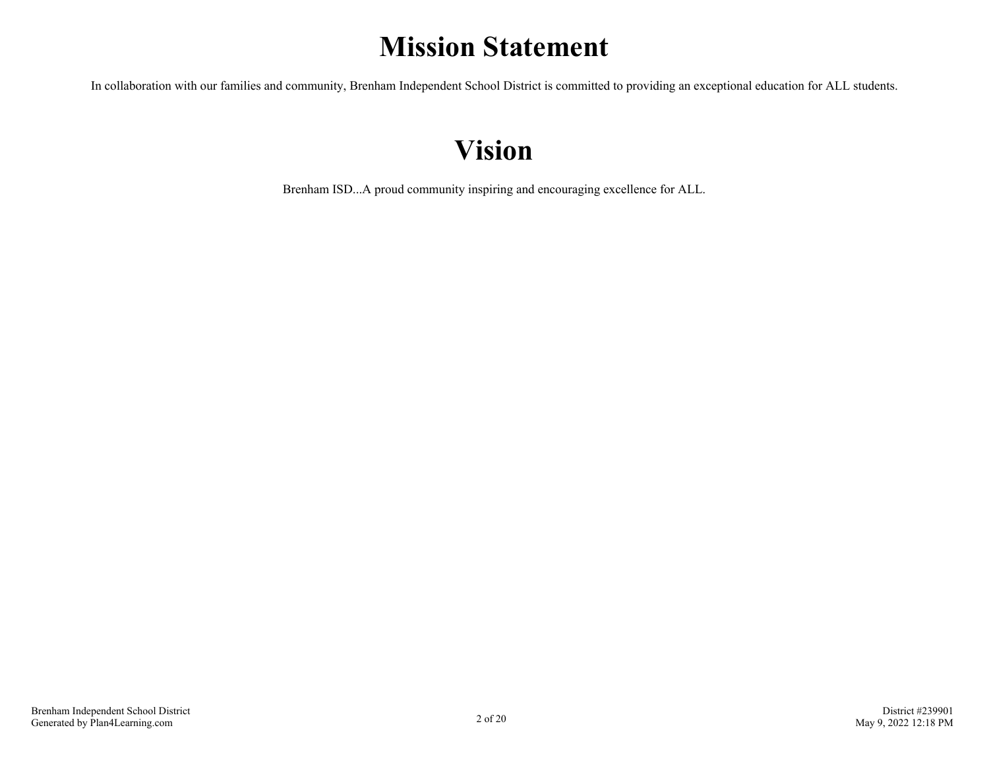# **Mission Statement**

In collaboration with our families and community, Brenham Independent School District is committed to providing an exceptional education for ALL students.

# **Vision**

Brenham ISD...A proud community inspiring and encouraging excellence for ALL.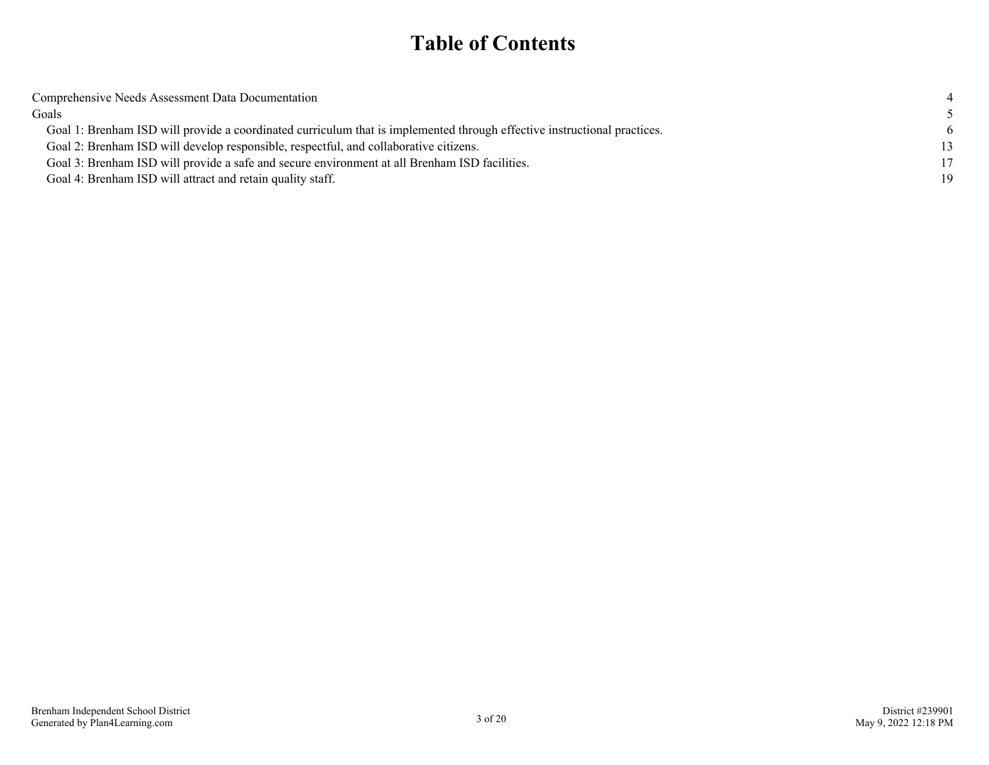### **Table of Contents**

| Comprehensive Needs Assessment Data Documentation                                                                        |    |
|--------------------------------------------------------------------------------------------------------------------------|----|
| Goals                                                                                                                    |    |
| Goal 1: Brenham ISD will provide a coordinated curriculum that is implemented through effective instructional practices. |    |
| Goal 2: Brenham ISD will develop responsible, respectful, and collaborative citizens.                                    | 13 |
| Goal 3: Brenham ISD will provide a safe and secure environment at all Brenham ISD facilities.                            | 17 |
| Goal 4: Brenham ISD will attract and retain quality staff.                                                               | 19 |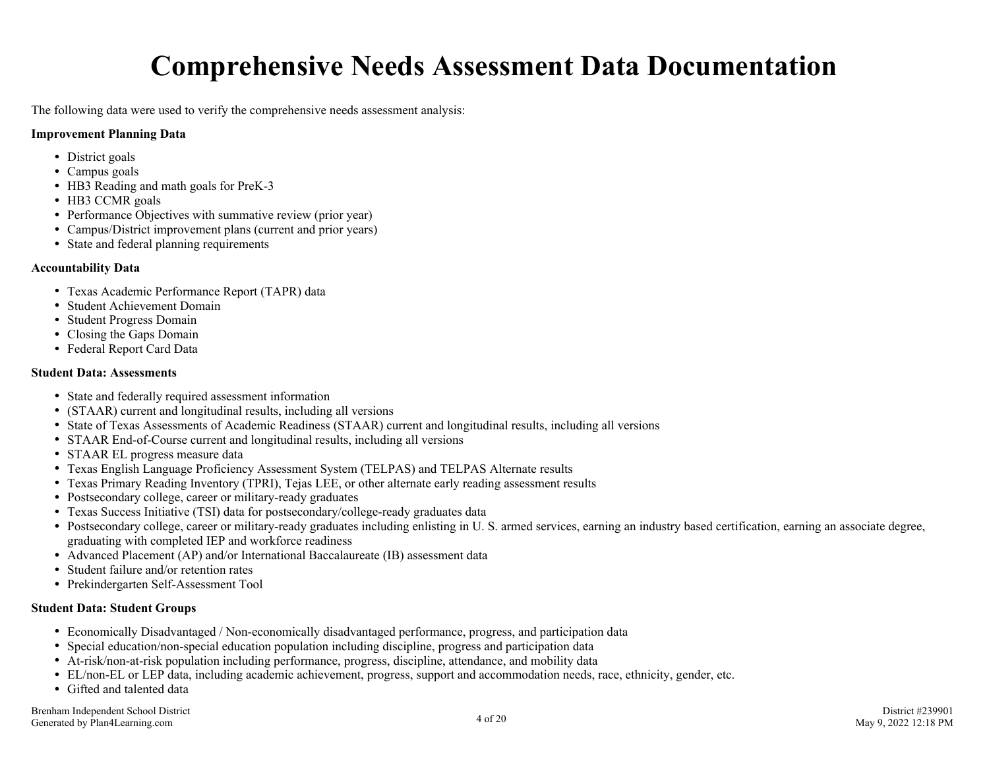# **Comprehensive Needs Assessment Data Documentation**

<span id="page-3-0"></span>The following data were used to verify the comprehensive needs assessment analysis:

#### **Improvement Planning Data**

- District goals
- Campus goals
- HB3 Reading and math goals for PreK-3
- HB3 CCMR goals
- Performance Objectives with summative review (prior year)
- Campus/District improvement plans (current and prior years)
- State and federal planning requirements

#### **Accountability Data**

- Texas Academic Performance Report (TAPR) data
- Student Achievement Domain
- Student Progress Domain
- Closing the Gaps Domain
- Federal Report Card Data

#### **Student Data: Assessments**

- State and federally required assessment information
- (STAAR) current and longitudinal results, including all versions
- State of Texas Assessments of Academic Readiness (STAAR) current and longitudinal results, including all versions
- STAAR End-of-Course current and longitudinal results, including all versions
- STAAR EL progress measure data
- Texas English Language Proficiency Assessment System (TELPAS) and TELPAS Alternate results
- Texas Primary Reading Inventory (TPRI), Tejas LEE, or other alternate early reading assessment results
- Postsecondary college, career or military-ready graduates
- Texas Success Initiative (TSI) data for postsecondary/college-ready graduates data
- Postsecondary college, career or military-ready graduates including enlisting in U. S. armed services, earning an industry based certification, earning an associate degree, graduating with completed IEP and workforce readiness
- Advanced Placement (AP) and/or International Baccalaureate (IB) assessment data
- Student failure and/or retention rates
- Prekindergarten Self-Assessment Tool

#### **Student Data: Student Groups**

- Economically Disadvantaged / Non-economically disadvantaged performance, progress, and participation data
- Special education/non-special education population including discipline, progress and participation data
- At-risk/non-at-risk population including performance, progress, discipline, attendance, and mobility data
- EL/non-EL or LEP data, including academic achievement, progress, support and accommodation needs, race, ethnicity, gender, etc.
- Gifted and talented data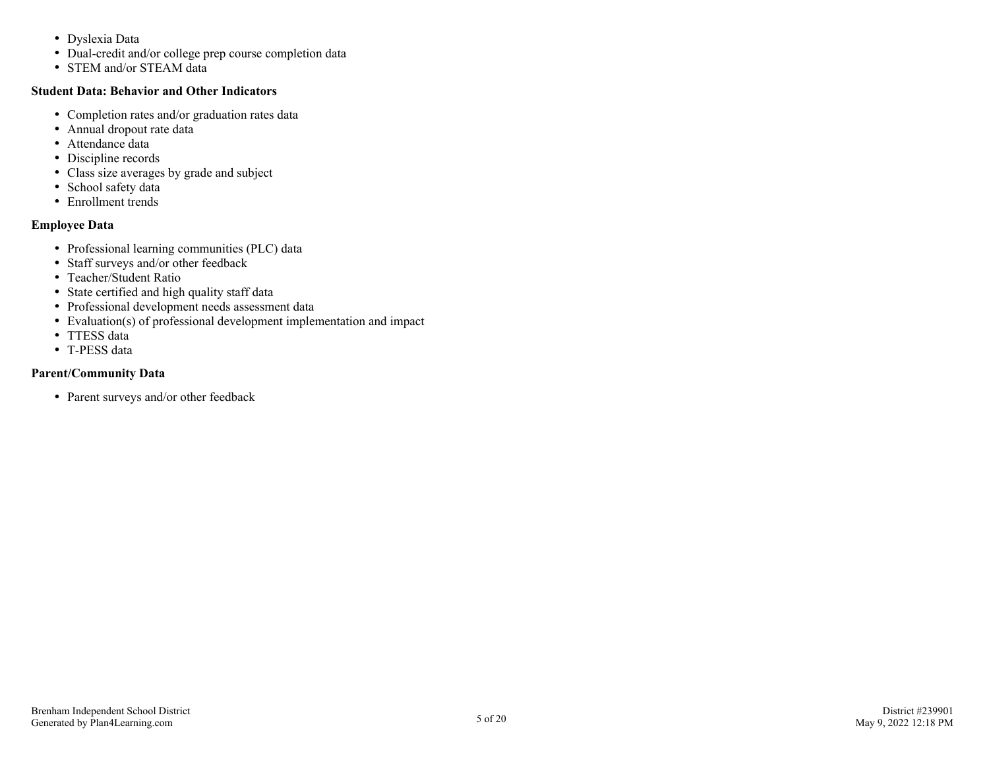- Dyslexia Data
- Dual-credit and/or college prep course completion data
- STEM and/or STEAM data

#### **Student Data: Behavior and Other Indicators**

- Completion rates and/or graduation rates data
- Annual dropout rate data
- Attendance data
- Discipline records
- Class size averages by grade and subject
- School safety data
- Enrollment trends

#### **Employee Data**

- Professional learning communities (PLC) data
- Staff surveys and/or other feedback
- Teacher/Student Ratio
- State certified and high quality staff data
- Professional development needs assessment data
- Evaluation(s) of professional development implementation and impact
- TTESS data
- T-PESS data

#### **Parent/Community Data**

• Parent surveys and/or other feedback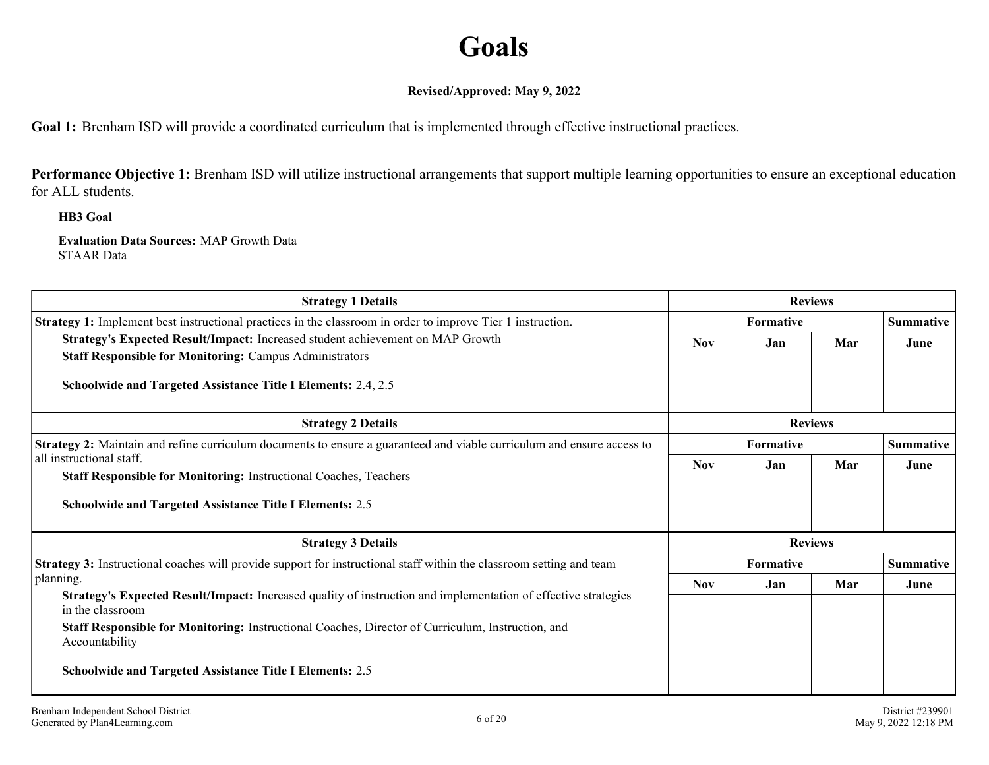# **Goals**

#### **Revised/Approved: May 9, 2022**

<span id="page-5-0"></span>**Goal 1:** Brenham ISD will provide a coordinated curriculum that is implemented through effective instructional practices.

Performance Objective 1: Brenham ISD will utilize instructional arrangements that support multiple learning opportunities to ensure an exceptional education for ALL students.

**HB3 Goal**

**Evaluation Data Sources:** MAP Growth Data STAAR Data

| <b>Strategy 1 Details</b>                                                                                                                                               |                  | <b>Reviews</b>   |                |                  |
|-------------------------------------------------------------------------------------------------------------------------------------------------------------------------|------------------|------------------|----------------|------------------|
| <b>Strategy 1:</b> Implement best instructional practices in the classroom in order to improve Tier 1 instruction.                                                      |                  | <b>Formative</b> |                | <b>Summative</b> |
| Strategy's Expected Result/Impact: Increased student achievement on MAP Growth<br><b>Staff Responsible for Monitoring: Campus Administrators</b>                        | <b>Nov</b>       | Jan              | Mar            | June             |
| <b>Schoolwide and Targeted Assistance Title I Elements: 2.4, 2.5</b>                                                                                                    |                  |                  |                |                  |
| <b>Strategy 2 Details</b>                                                                                                                                               | <b>Reviews</b>   |                  |                |                  |
| <b>Strategy 2:</b> Maintain and refine curriculum documents to ensure a guaranteed and viable curriculum and ensure access to                                           | <b>Formative</b> |                  |                | <b>Summative</b> |
| all instructional staff.<br><b>Staff Responsible for Monitoring: Instructional Coaches, Teachers</b><br><b>Schoolwide and Targeted Assistance Title I Elements: 2.5</b> | <b>Nov</b>       | Jan              | Mar            | June             |
| <b>Strategy 3 Details</b>                                                                                                                                               |                  |                  | <b>Reviews</b> |                  |
| <b>Strategy 3:</b> Instructional coaches will provide support for instructional staff within the classroom setting and team                                             |                  | <b>Formative</b> |                | <b>Summative</b> |
| planning.                                                                                                                                                               | <b>Nov</b>       | Jan              | Mar            | June             |
| Strategy's Expected Result/Impact: Increased quality of instruction and implementation of effective strategies<br>in the classroom                                      |                  |                  |                |                  |
| Staff Responsible for Monitoring: Instructional Coaches, Director of Curriculum, Instruction, and<br>Accountability                                                     |                  |                  |                |                  |
| <b>Schoolwide and Targeted Assistance Title I Elements: 2.5</b>                                                                                                         |                  |                  |                |                  |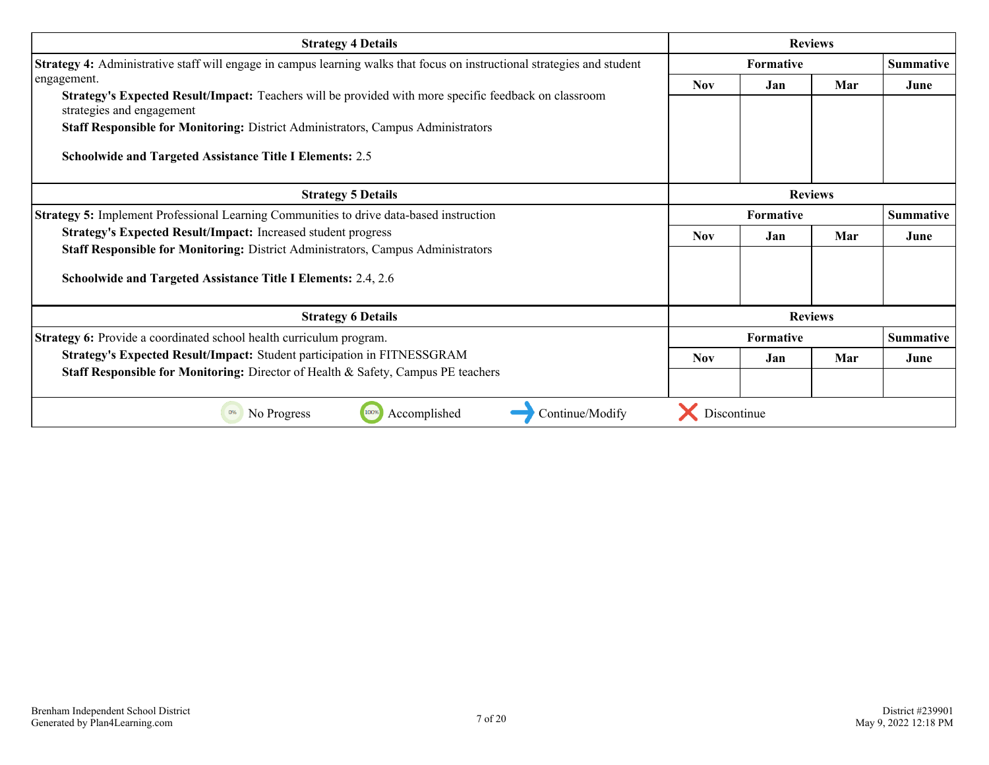| <b>Strategy 4 Details</b>                                                                                                                                                                                                        | <b>Reviews</b> |                  |     |                  |
|----------------------------------------------------------------------------------------------------------------------------------------------------------------------------------------------------------------------------------|----------------|------------------|-----|------------------|
| Strategy 4: Administrative staff will engage in campus learning walks that focus on instructional strategies and student                                                                                                         |                | <b>Formative</b> |     |                  |
| engagement.<br>Strategy's Expected Result/Impact: Teachers will be provided with more specific feedback on classroom<br>strategies and engagement                                                                                | <b>Nov</b>     | Jan              | Mar | June             |
| <b>Staff Responsible for Monitoring: District Administrators, Campus Administrators</b><br><b>Schoolwide and Targeted Assistance Title I Elements: 2.5</b>                                                                       |                |                  |     |                  |
| <b>Strategy 5 Details</b>                                                                                                                                                                                                        | <b>Reviews</b> |                  |     |                  |
| Strategy 5: Implement Professional Learning Communities to drive data-based instruction                                                                                                                                          |                | <b>Formative</b> |     |                  |
| <b>Strategy's Expected Result/Impact:</b> Increased student progress<br>Staff Responsible for Monitoring: District Administrators, Campus Administrators<br><b>Schoolwide and Targeted Assistance Title I Elements: 2.4, 2.6</b> | <b>Nov</b>     | Jan              | Mar | June             |
| <b>Strategy 6 Details</b>                                                                                                                                                                                                        |                | <b>Reviews</b>   |     |                  |
| Strategy 6: Provide a coordinated school health curriculum program.                                                                                                                                                              |                | <b>Formative</b> |     | <b>Summative</b> |
| Strategy's Expected Result/Impact: Student participation in FITNESSGRAM<br><b>Staff Responsible for Monitoring:</b> Director of Health & Safety, Campus PE teachers                                                              | <b>Nov</b>     | Jan              | Mar | June             |
| 0%<br>No Progress<br>Accomplished<br>Continue/Modify                                                                                                                                                                             | Discontinue    |                  |     |                  |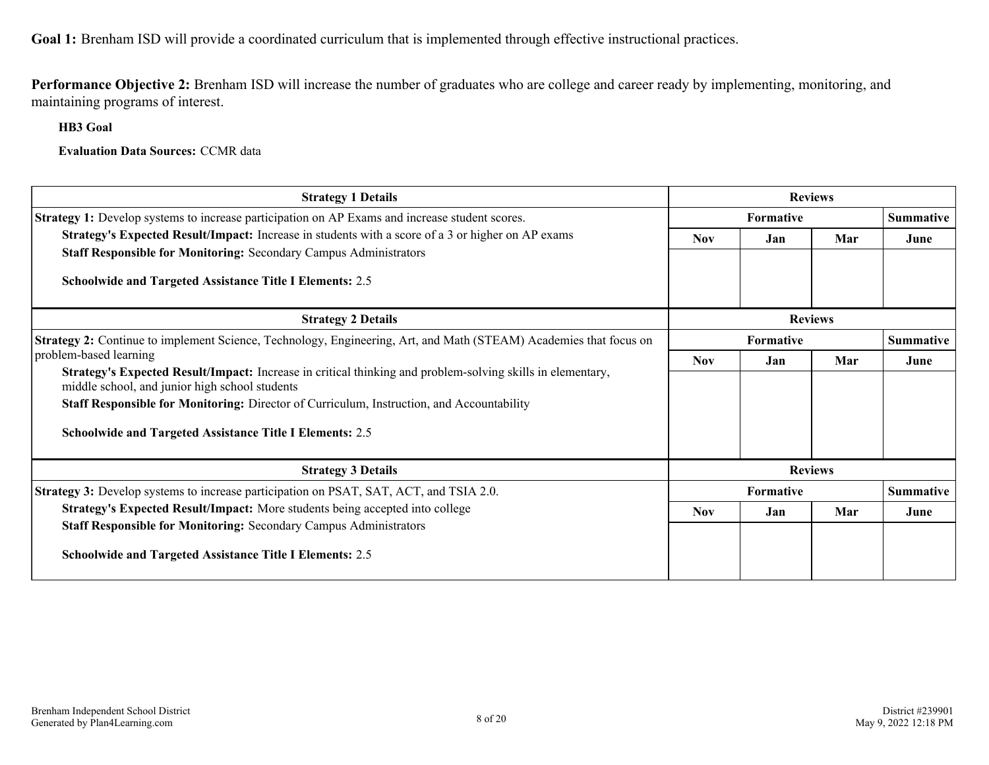**Goal 1:** Brenham ISD will provide a coordinated curriculum that is implemented through effective instructional practices.

**Performance Objective 2:** Brenham ISD will increase the number of graduates who are college and career ready by implementing, monitoring, and maintaining programs of interest.

**HB3 Goal**

**Evaluation Data Sources:** CCMR data

| <b>Strategy 1 Details</b>                                                                                                                                    |                  | <b>Reviews</b>   |     |                  |
|--------------------------------------------------------------------------------------------------------------------------------------------------------------|------------------|------------------|-----|------------------|
| Strategy 1: Develop systems to increase participation on AP Exams and increase student scores.                                                               | <b>Formative</b> |                  |     | Summative        |
| <b>Strategy's Expected Result/Impact:</b> Increase in students with a score of a 3 or higher on AP exams                                                     | <b>Nov</b>       | Jan              | Mar | June             |
| <b>Staff Responsible for Monitoring: Secondary Campus Administrators</b>                                                                                     |                  |                  |     |                  |
| Schoolwide and Targeted Assistance Title I Elements: 2.5                                                                                                     |                  |                  |     |                  |
| <b>Strategy 2 Details</b>                                                                                                                                    | <b>Reviews</b>   |                  |     |                  |
| Strategy 2: Continue to implement Science, Technology, Engineering, Art, and Math (STEAM) Academies that focus on                                            | <b>Formative</b> |                  |     | <b>Summative</b> |
| problem-based learning                                                                                                                                       | <b>Nov</b>       | Jan              | Mar | June             |
| Strategy's Expected Result/Impact: Increase in critical thinking and problem-solving skills in elementary,<br>middle school, and junior high school students |                  |                  |     |                  |
| Staff Responsible for Monitoring: Director of Curriculum, Instruction, and Accountability                                                                    |                  |                  |     |                  |
| <b>Schoolwide and Targeted Assistance Title I Elements: 2.5</b>                                                                                              |                  |                  |     |                  |
| <b>Strategy 3 Details</b>                                                                                                                                    | <b>Reviews</b>   |                  |     |                  |
| <b>Strategy 3:</b> Develop systems to increase participation on PSAT, SAT, ACT, and TSIA 2.0.                                                                |                  | <b>Formative</b> |     | <b>Summative</b> |
| Strategy's Expected Result/Impact: More students being accepted into college                                                                                 | <b>Nov</b>       | Jan              | Mar | June             |
| <b>Staff Responsible for Monitoring: Secondary Campus Administrators</b>                                                                                     |                  |                  |     |                  |
| <b>Schoolwide and Targeted Assistance Title I Elements: 2.5</b>                                                                                              |                  |                  |     |                  |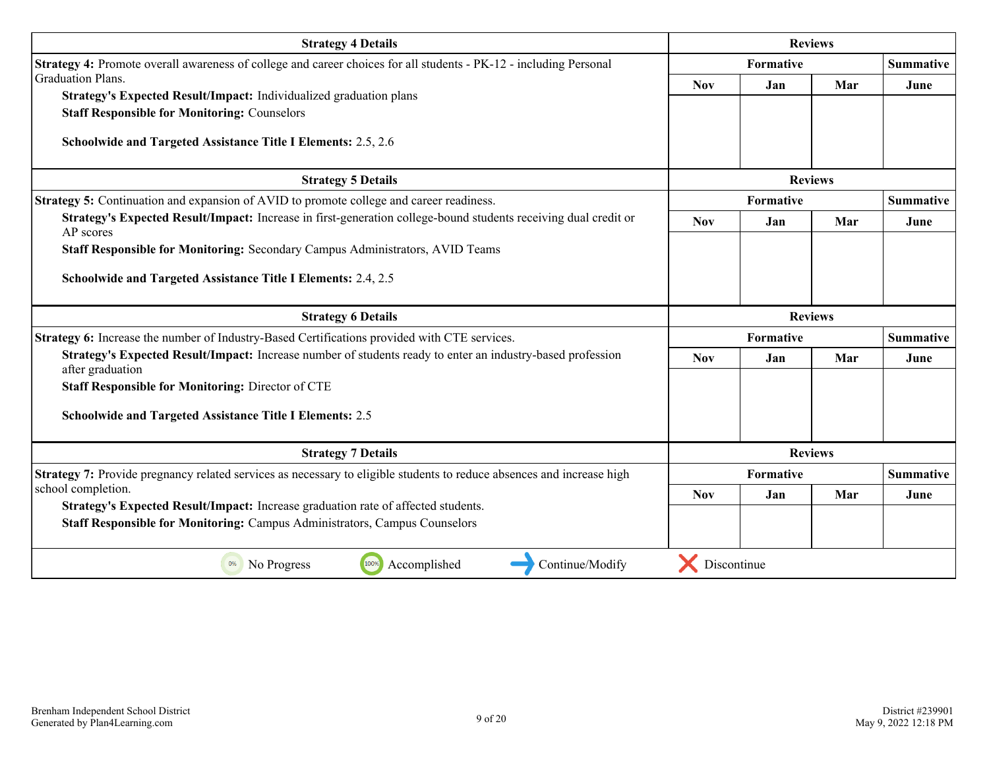| <b>Strategy 4 Details</b>                                                                                                      |            | <b>Reviews</b>   |                |                  |
|--------------------------------------------------------------------------------------------------------------------------------|------------|------------------|----------------|------------------|
| Strategy 4: Promote overall awareness of college and career choices for all students - PK-12 - including Personal              |            | Formative        |                |                  |
| <b>Graduation Plans.</b>                                                                                                       | <b>Nov</b> | Jan              | Mar            | June             |
| Strategy's Expected Result/Impact: Individualized graduation plans                                                             |            |                  |                |                  |
| <b>Staff Responsible for Monitoring: Counselors</b>                                                                            |            |                  |                |                  |
| Schoolwide and Targeted Assistance Title I Elements: 2.5, 2.6                                                                  |            |                  |                |                  |
| <b>Strategy 5 Details</b>                                                                                                      |            | <b>Reviews</b>   |                |                  |
| <b>Strategy 5:</b> Continuation and expansion of AVID to promote college and career readiness.                                 |            | Formative        |                | <b>Summative</b> |
| Strategy's Expected Result/Impact: Increase in first-generation college-bound students receiving dual credit or<br>AP scores   | <b>Nov</b> | Jan              | Mar            | June             |
| Staff Responsible for Monitoring: Secondary Campus Administrators, AVID Teams                                                  |            |                  |                |                  |
| Schoolwide and Targeted Assistance Title I Elements: 2.4, 2.5                                                                  |            |                  |                |                  |
| <b>Strategy 6 Details</b>                                                                                                      |            |                  | <b>Reviews</b> |                  |
| Strategy 6: Increase the number of Industry-Based Certifications provided with CTE services.                                   |            | <b>Formative</b> |                | <b>Summative</b> |
| Strategy's Expected Result/Impact: Increase number of students ready to enter an industry-based profession<br>after graduation | <b>Nov</b> | Jan              | Mar            | June             |
| <b>Staff Responsible for Monitoring: Director of CTE</b>                                                                       |            |                  |                |                  |
| <b>Schoolwide and Targeted Assistance Title I Elements: 2.5</b>                                                                |            |                  |                |                  |
| <b>Strategy 7 Details</b>                                                                                                      |            |                  | <b>Reviews</b> |                  |
| Strategy 7: Provide pregnancy related services as necessary to eligible students to reduce absences and increase high          |            | Formative        |                | <b>Summative</b> |
| school completion.                                                                                                             | <b>Nov</b> | Jan              | Mar            | June             |
| Strategy's Expected Result/Impact: Increase graduation rate of affected students.                                              |            |                  |                |                  |
| Staff Responsible for Monitoring: Campus Administrators, Campus Counselors                                                     |            |                  |                |                  |
|                                                                                                                                |            |                  |                |                  |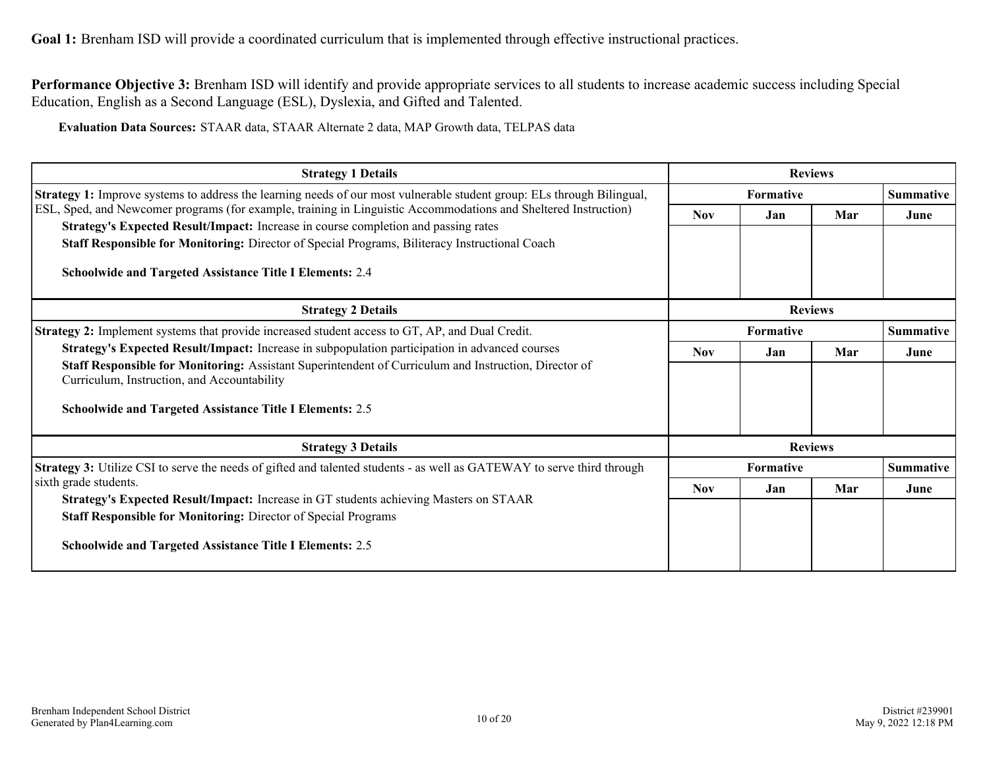**Goal 1:** Brenham ISD will provide a coordinated curriculum that is implemented through effective instructional practices.

**Performance Objective 3:** Brenham ISD will identify and provide appropriate services to all students to increase academic success including Special Education, English as a Second Language (ESL), Dyslexia, and Gifted and Talented.

**Evaluation Data Sources:** STAAR data, STAAR Alternate 2 data, MAP Growth data, TELPAS data

| <b>Strategy 1 Details</b>                                                                                                                                                                                                                                                                                                 | <b>Reviews</b>   |                  |                |                  |
|---------------------------------------------------------------------------------------------------------------------------------------------------------------------------------------------------------------------------------------------------------------------------------------------------------------------------|------------------|------------------|----------------|------------------|
| Strategy 1: Improve systems to address the learning needs of our most vulnerable student group: ELs through Bilingual,                                                                                                                                                                                                    |                  | <b>Formative</b> |                |                  |
| ESL, Sped, and Newcomer programs (for example, training in Linguistic Accommodations and Sheltered Instruction)<br>Strategy's Expected Result/Impact: Increase in course completion and passing rates                                                                                                                     | <b>Nov</b>       | Jan              | Mar            | June             |
| <b>Staff Responsible for Monitoring:</b> Director of Special Programs, Biliteracy Instructional Coach<br><b>Schoolwide and Targeted Assistance Title I Elements: 2.4</b>                                                                                                                                                  |                  |                  |                |                  |
| <b>Strategy 2 Details</b>                                                                                                                                                                                                                                                                                                 | <b>Reviews</b>   |                  |                |                  |
| <b>Strategy 2:</b> Implement systems that provide increased student access to GT, AP, and Dual Credit.                                                                                                                                                                                                                    | <b>Formative</b> |                  |                | <b>Summative</b> |
| Strategy's Expected Result/Impact: Increase in subpopulation participation in advanced courses<br>Staff Responsible for Monitoring: Assistant Superintendent of Curriculum and Instruction, Director of<br>Curriculum, Instruction, and Accountability<br><b>Schoolwide and Targeted Assistance Title I Elements: 2.5</b> | <b>Nov</b>       | Jan              | Mar            | June             |
| <b>Strategy 3 Details</b>                                                                                                                                                                                                                                                                                                 |                  |                  | <b>Reviews</b> |                  |
| <b>Strategy 3:</b> Utilize CSI to serve the needs of gifted and talented students - as well as GATEWAY to serve third through                                                                                                                                                                                             |                  | Formative        |                | <b>Summative</b> |
| sixth grade students.<br>Strategy's Expected Result/Impact: Increase in GT students achieving Masters on STAAR                                                                                                                                                                                                            | <b>Nov</b>       | Jan              | Mar            | June             |
| <b>Staff Responsible for Monitoring: Director of Special Programs</b><br><b>Schoolwide and Targeted Assistance Title I Elements: 2.5</b>                                                                                                                                                                                  |                  |                  |                |                  |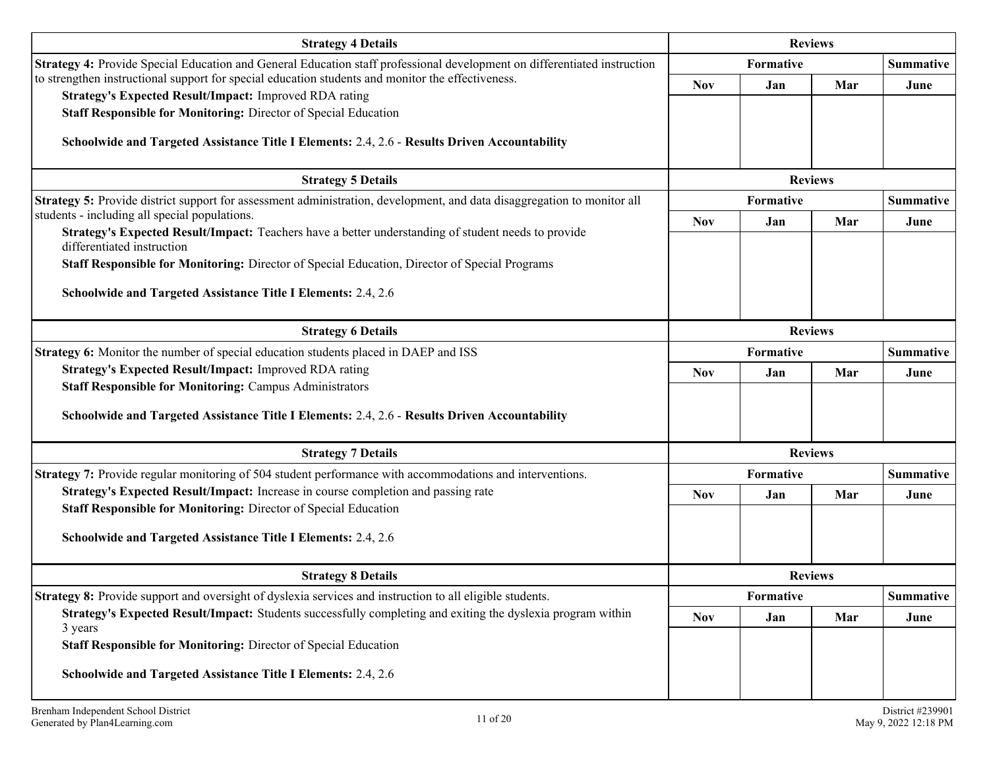| <b>Strategy 4 Details</b>                                                                                                         |            |           | <b>Reviews</b> |                  |
|-----------------------------------------------------------------------------------------------------------------------------------|------------|-----------|----------------|------------------|
| Strategy 4: Provide Special Education and General Education staff professional development on differentiated instruction          |            | Formative |                | <b>Summative</b> |
| to strengthen instructional support for special education students and monitor the effectiveness.                                 | <b>Nov</b> | Jan       | Mar            | June             |
| Strategy's Expected Result/Impact: Improved RDA rating                                                                            |            |           |                |                  |
| Staff Responsible for Monitoring: Director of Special Education                                                                   |            |           |                |                  |
| Schoolwide and Targeted Assistance Title I Elements: 2.4, 2.6 - Results Driven Accountability                                     |            |           |                |                  |
|                                                                                                                                   |            |           |                |                  |
| <b>Strategy 5 Details</b>                                                                                                         |            |           | <b>Reviews</b> |                  |
| Strategy 5: Provide district support for assessment administration, development, and data disaggregation to monitor all           |            | Formative |                | <b>Summative</b> |
| students - including all special populations.                                                                                     | <b>Nov</b> | Jan       | Mar            | June             |
| Strategy's Expected Result/Impact: Teachers have a better understanding of student needs to provide<br>differentiated instruction |            |           |                |                  |
| Staff Responsible for Monitoring: Director of Special Education, Director of Special Programs                                     |            |           |                |                  |
|                                                                                                                                   |            |           |                |                  |
| Schoolwide and Targeted Assistance Title I Elements: 2.4, 2.6                                                                     |            |           |                |                  |
|                                                                                                                                   |            |           |                |                  |
| <b>Strategy 6 Details</b>                                                                                                         |            |           | <b>Reviews</b> |                  |
| <b>Strategy 6:</b> Monitor the number of special education students placed in DAEP and ISS                                        |            | Formative |                | <b>Summative</b> |
| Strategy's Expected Result/Impact: Improved RDA rating                                                                            | <b>Nov</b> | Jan       | Mar            | June             |
| <b>Staff Responsible for Monitoring: Campus Administrators</b>                                                                    |            |           |                |                  |
| Schoolwide and Targeted Assistance Title I Elements: 2.4, 2.6 - Results Driven Accountability                                     |            |           |                |                  |
|                                                                                                                                   |            |           |                |                  |
| <b>Strategy 7 Details</b>                                                                                                         |            |           | <b>Reviews</b> |                  |
| Strategy 7: Provide regular monitoring of 504 student performance with accommodations and interventions.                          |            | Formative |                | <b>Summative</b> |
| Strategy's Expected Result/Impact: Increase in course completion and passing rate                                                 | <b>Nov</b> | Jan       | Mar            | June             |
| Staff Responsible for Monitoring: Director of Special Education                                                                   |            |           |                |                  |
| Schoolwide and Targeted Assistance Title I Elements: 2.4, 2.6                                                                     |            |           |                |                  |
|                                                                                                                                   |            |           |                |                  |
| <b>Strategy 8 Details</b>                                                                                                         |            |           | <b>Reviews</b> |                  |
| Strategy 8: Provide support and oversight of dyslexia services and instruction to all eligible students.                          |            | Formative |                | <b>Summative</b> |
| Strategy's Expected Result/Impact: Students successfully completing and exiting the dyslexia program within                       | <b>Nov</b> | Jan       | Mar            | June             |
| 3 years                                                                                                                           |            |           |                |                  |
| Staff Responsible for Monitoring: Director of Special Education                                                                   |            |           |                |                  |
| Schoolwide and Targeted Assistance Title I Elements: 2.4, 2.6                                                                     |            |           |                |                  |
|                                                                                                                                   |            |           |                |                  |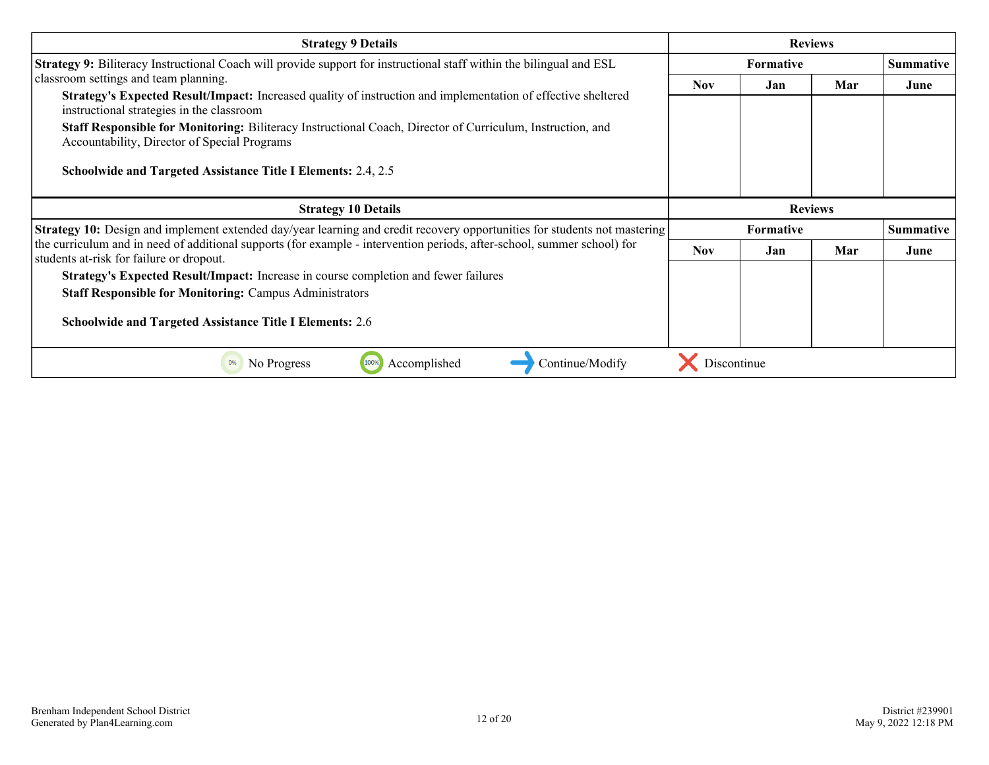| <b>Strategy 9 Details</b>                                                                                                                                           | <b>Reviews</b>   |                |     |                  |
|---------------------------------------------------------------------------------------------------------------------------------------------------------------------|------------------|----------------|-----|------------------|
| <b>Strategy 9:</b> Biliteracy Instructional Coach will provide support for instructional staff within the bilingual and ESL                                         | <b>Formative</b> |                |     | <b>Summative</b> |
| classroom settings and team planning.                                                                                                                               | <b>Nov</b>       | Jan            | Mar | June             |
| Strategy's Expected Result/Impact: Increased quality of instruction and implementation of effective sheltered<br>instructional strategies in the classroom          |                  |                |     |                  |
| Staff Responsible for Monitoring: Biliteracy Instructional Coach, Director of Curriculum, Instruction, and<br>Accountability, Director of Special Programs          |                  |                |     |                  |
| Schoolwide and Targeted Assistance Title I Elements: 2.4, 2.5                                                                                                       |                  |                |     |                  |
| <b>Strategy 10 Details</b>                                                                                                                                          |                  | <b>Reviews</b> |     |                  |
| <b>Strategy 10:</b> Design and implement extended day/year learning and credit recovery opportunities for students not mastering                                    | <b>Formative</b> |                |     | <b>Summative</b> |
| the curriculum and in need of additional supports (for example - intervention periods, after-school, summer school) for<br>students at-risk for failure or dropout. | <b>Nov</b>       | Jan.           | Mar | June             |
| Strategy's Expected Result/Impact: Increase in course completion and fewer failures                                                                                 |                  |                |     |                  |
| <b>Staff Responsible for Monitoring: Campus Administrators</b>                                                                                                      |                  |                |     |                  |
| <b>Schoolwide and Targeted Assistance Title I Elements: 2.6</b>                                                                                                     |                  |                |     |                  |
| Continue/Modify<br>0%<br>No Progress<br>100%<br>Accomplished                                                                                                        | Discontinue      |                |     |                  |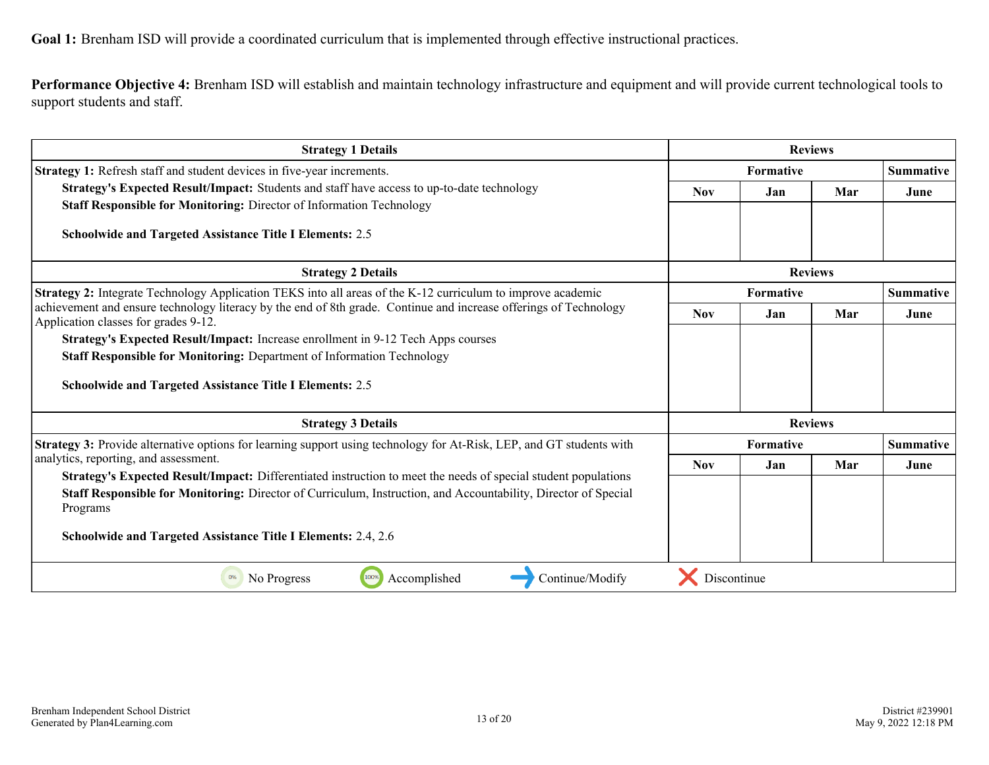**Goal 1:** Brenham ISD will provide a coordinated curriculum that is implemented through effective instructional practices.

**Performance Objective 4:** Brenham ISD will establish and maintain technology infrastructure and equipment and will provide current technological tools to support students and staff.

| <b>Strategy 1 Details</b>                                                                                                                                 |                  | <b>Reviews</b>   |                |                  |
|-----------------------------------------------------------------------------------------------------------------------------------------------------------|------------------|------------------|----------------|------------------|
| Strategy 1: Refresh staff and student devices in five-year increments.                                                                                    | Formative        |                  |                | <b>Summative</b> |
| Strategy's Expected Result/Impact: Students and staff have access to up-to-date technology                                                                | <b>Nov</b>       | Jan              | Mar            | June             |
| Staff Responsible for Monitoring: Director of Information Technology                                                                                      |                  |                  |                |                  |
| <b>Schoolwide and Targeted Assistance Title I Elements: 2.5</b>                                                                                           |                  |                  |                |                  |
| <b>Strategy 2 Details</b>                                                                                                                                 | <b>Reviews</b>   |                  |                |                  |
| Strategy 2: Integrate Technology Application TEKS into all areas of the K-12 curriculum to improve academic                                               | <b>Formative</b> |                  |                | <b>Summative</b> |
| achievement and ensure technology literacy by the end of 8th grade. Continue and increase offerings of Technology<br>Application classes for grades 9-12. | <b>Nov</b>       | Jan              | Mar            | June             |
| Strategy's Expected Result/Impact: Increase enrollment in 9-12 Tech Apps courses                                                                          |                  |                  |                |                  |
| Staff Responsible for Monitoring: Department of Information Technology                                                                                    |                  |                  |                |                  |
| <b>Schoolwide and Targeted Assistance Title I Elements: 2.5</b>                                                                                           |                  |                  |                |                  |
| <b>Strategy 3 Details</b>                                                                                                                                 |                  |                  | <b>Reviews</b> |                  |
| Strategy 3: Provide alternative options for learning support using technology for At-Risk, LEP, and GT students with                                      |                  | <b>Formative</b> |                | <b>Summative</b> |
| analytics, reporting, and assessment.<br>Strategy's Expected Result/Impact: Differentiated instruction to meet the needs of special student populations   | <b>Nov</b>       | Jan              | Mar            | June             |
| Staff Responsible for Monitoring: Director of Curriculum, Instruction, and Accountability, Director of Special<br>Programs                                |                  |                  |                |                  |
| Schoolwide and Targeted Assistance Title I Elements: 2.4, 2.6                                                                                             |                  |                  |                |                  |
| 100%<br>No Progress<br>Accomplished<br>Continue/Modify<br>0%                                                                                              | Discontinue      |                  |                |                  |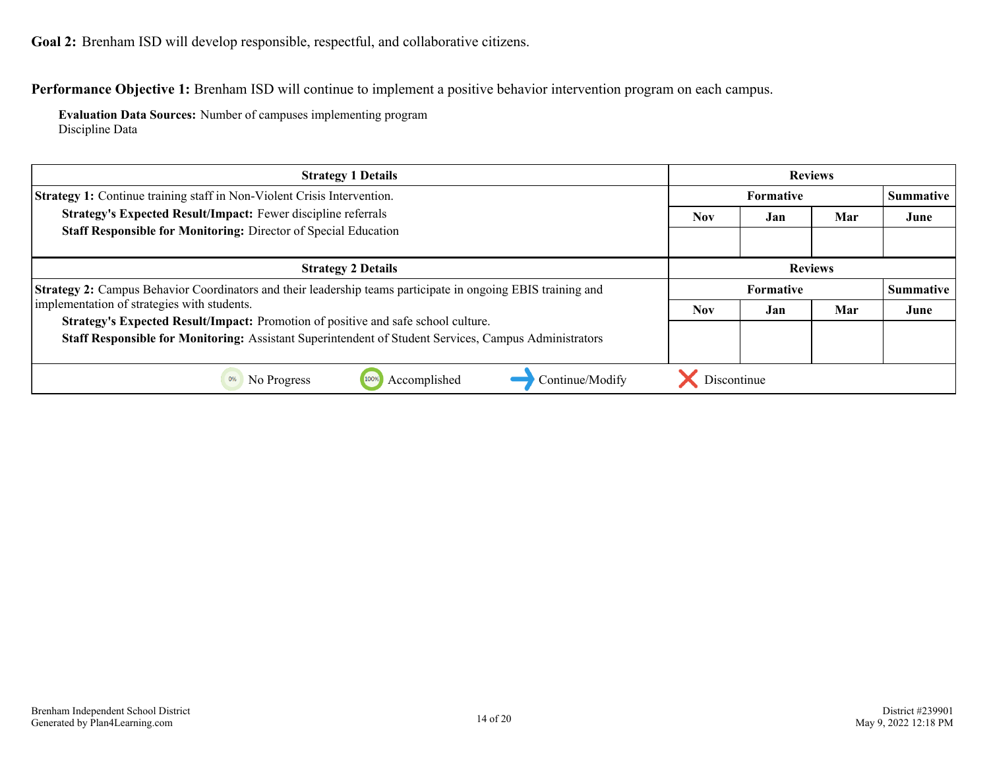<span id="page-13-0"></span>**Goal 2:** Brenham ISD will develop responsible, respectful, and collaborative citizens.

**Performance Objective 1:** Brenham ISD will continue to implement a positive behavior intervention program on each campus.

**Evaluation Data Sources:** Number of campuses implementing program Discipline Data

| <b>Strategy 1 Details</b>                                                                                                                                                                  | <b>Reviews</b>           |     |                |                  |
|--------------------------------------------------------------------------------------------------------------------------------------------------------------------------------------------|--------------------------|-----|----------------|------------------|
| <b>Strategy 1:</b> Continue training staff in Non-Violent Crisis Intervention.                                                                                                             | <b>Formative</b>         |     |                | Summative        |
| Strategy's Expected Result/Impact: Fewer discipline referrals                                                                                                                              | Mar<br><b>Nov</b><br>Jan |     |                | June             |
| Staff Responsible for Monitoring: Director of Special Education                                                                                                                            |                          |     |                |                  |
| <b>Strategy 2 Details</b>                                                                                                                                                                  |                          |     | <b>Reviews</b> |                  |
| <b>Strategy 2:</b> Campus Behavior Coordinators and their leadership teams participate in ongoing EBIS training and                                                                        | <b>Formative</b>         |     |                | <b>Summative</b> |
| implementation of strategies with students.                                                                                                                                                | <b>Nov</b>               | Jan | Mar            | June             |
| Strategy's Expected Result/Impact: Promotion of positive and safe school culture.<br>Staff Responsible for Monitoring: Assistant Superintendent of Student Services, Campus Administrators |                          |     |                |                  |
| Accomplished<br>0%<br>Continue/Modify<br>No Progress<br>100%                                                                                                                               | Discontinue              |     |                |                  |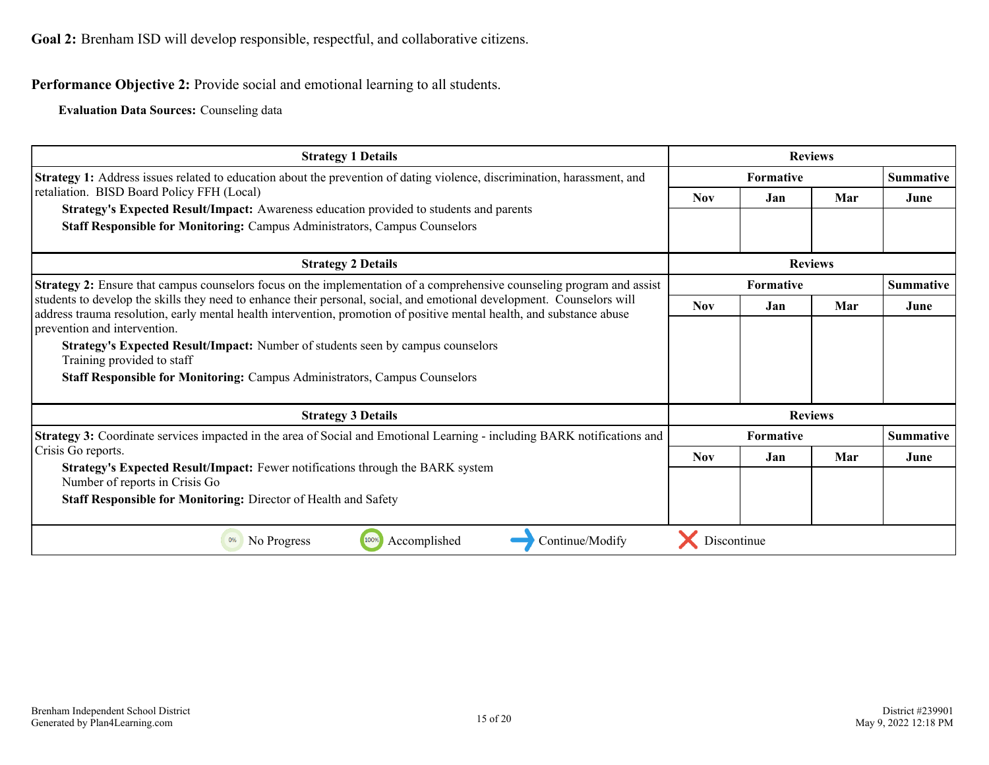**Goal 2:** Brenham ISD will develop responsible, respectful, and collaborative citizens.

**Performance Objective 2:** Provide social and emotional learning to all students.

**Evaluation Data Sources:** Counseling data

| <b>Strategy 1 Details</b>                                                                                                                                                                                                                       |                | <b>Reviews</b>   |     |                  |
|-------------------------------------------------------------------------------------------------------------------------------------------------------------------------------------------------------------------------------------------------|----------------|------------------|-----|------------------|
| Strategy 1: Address issues related to education about the prevention of dating violence, discrimination, harassment, and                                                                                                                        |                | <b>Formative</b> |     | <b>Summative</b> |
| retaliation. BISD Board Policy FFH (Local)                                                                                                                                                                                                      | <b>Nov</b>     | Jan              | Mar | June             |
| Strategy's Expected Result/Impact: Awareness education provided to students and parents                                                                                                                                                         |                |                  |     |                  |
| <b>Staff Responsible for Monitoring: Campus Administrators, Campus Counselors</b>                                                                                                                                                               |                |                  |     |                  |
| <b>Strategy 2 Details</b>                                                                                                                                                                                                                       | <b>Reviews</b> |                  |     |                  |
| <b>Strategy 2:</b> Ensure that campus counselors focus on the implementation of a comprehensive counseling program and assist                                                                                                                   |                | <b>Formative</b> |     |                  |
| students to develop the skills they need to enhance their personal, social, and emotional development. Counselors will<br>address trauma resolution, early mental health intervention, promotion of positive mental health, and substance abuse | <b>Nov</b>     | Jan              | Mar | June             |
| prevention and intervention.                                                                                                                                                                                                                    |                |                  |     |                  |
| Strategy's Expected Result/Impact: Number of students seen by campus counselors<br>Training provided to staff                                                                                                                                   |                |                  |     |                  |
| <b>Staff Responsible for Monitoring: Campus Administrators, Campus Counselors</b>                                                                                                                                                               |                |                  |     |                  |
| <b>Strategy 3 Details</b>                                                                                                                                                                                                                       |                | <b>Reviews</b>   |     |                  |
| <b>Strategy 3:</b> Coordinate services impacted in the area of Social and Emotional Learning - including BARK notifications and                                                                                                                 |                | <b>Formative</b> |     | <b>Summative</b> |
| Crisis Go reports.                                                                                                                                                                                                                              | <b>Nov</b>     | Jan              | Mar | June             |
| Strategy's Expected Result/Impact: Fewer notifications through the BARK system<br>Number of reports in Crisis Go                                                                                                                                |                |                  |     |                  |
| <b>Staff Responsible for Monitoring: Director of Health and Safety</b>                                                                                                                                                                          |                |                  |     |                  |
| 1009<br>Accomplished<br>0%<br>No Progress<br>Continue/Modify                                                                                                                                                                                    | Discontinue    |                  |     |                  |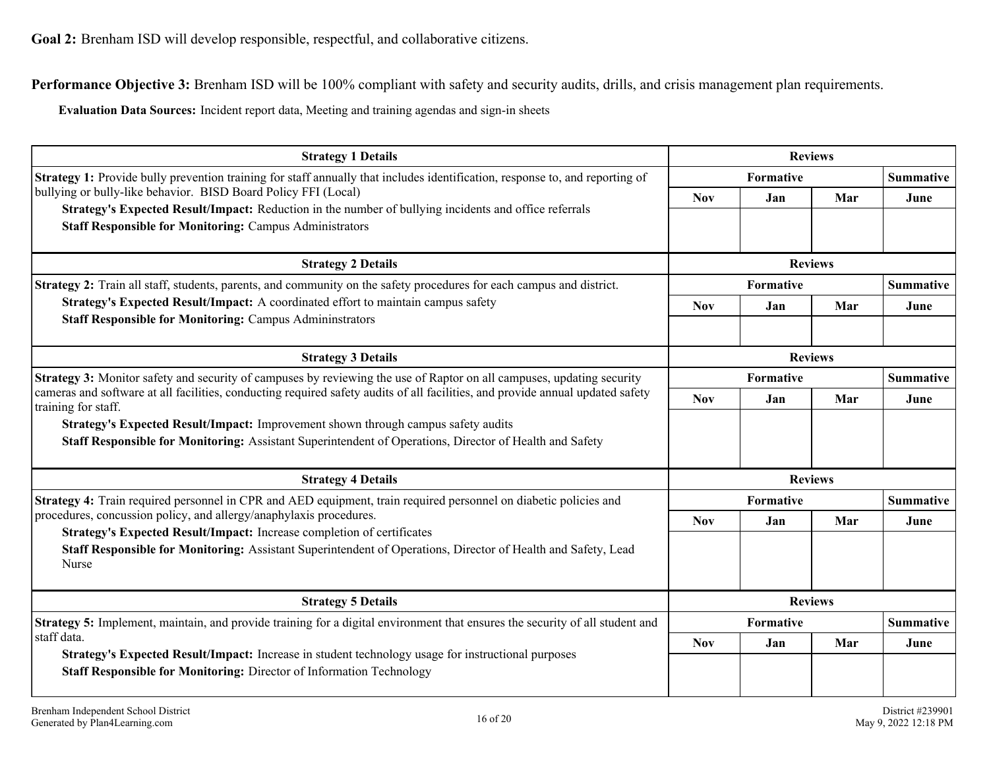**Performance Objective 3:** Brenham ISD will be 100% compliant with safety and security audits, drills, and crisis management plan requirements.

**Evaluation Data Sources:** Incident report data, Meeting and training agendas and sign-in sheets

| <b>Strategy 1 Details</b>                                                                                                                                                                        |                |                                      | <b>Reviews</b> |                  |
|--------------------------------------------------------------------------------------------------------------------------------------------------------------------------------------------------|----------------|--------------------------------------|----------------|------------------|
| <b>Strategy 1:</b> Provide bully prevention training for staff annually that includes identification, response to, and reporting of                                                              |                | Formative                            |                |                  |
| bullying or bully-like behavior. BISD Board Policy FFI (Local)<br>Strategy's Expected Result/Impact: Reduction in the number of bullying incidents and office referrals                          | <b>Nov</b>     | Jan                                  | Mar            | June             |
| <b>Staff Responsible for Monitoring: Campus Administrators</b>                                                                                                                                   |                |                                      |                |                  |
| <b>Strategy 2 Details</b>                                                                                                                                                                        |                |                                      | <b>Reviews</b> |                  |
| Strategy 2: Train all staff, students, parents, and community on the safety procedures for each campus and district.                                                                             |                | Formative<br><b>Summative</b>        |                |                  |
| Strategy's Expected Result/Impact: A coordinated effort to maintain campus safety                                                                                                                | <b>Nov</b>     | Jan                                  | Mar            | June             |
| <b>Staff Responsible for Monitoring: Campus Admininstrators</b>                                                                                                                                  |                |                                      |                |                  |
| <b>Strategy 3 Details</b>                                                                                                                                                                        | <b>Reviews</b> |                                      |                |                  |
| Strategy 3: Monitor safety and security of campuses by reviewing the use of Raptor on all campuses, updating security                                                                            |                | Formative<br><b>Summative</b>        |                |                  |
| cameras and software at all facilities, conducting required safety audits of all facilities, and provide annual updated safety<br>training for staff.                                            | <b>Nov</b>     | Jan                                  | Mar            | June             |
| Strategy's Expected Result/Impact: Improvement shown through campus safety audits<br>Staff Responsible for Monitoring: Assistant Superintendent of Operations, Director of Health and Safety     |                |                                      |                |                  |
| <b>Strategy 4 Details</b>                                                                                                                                                                        |                |                                      | <b>Reviews</b> |                  |
| Strategy 4: Train required personnel in CPR and AED equipment, train required personnel on diabetic policies and                                                                                 |                | Formative                            |                | <b>Summative</b> |
| procedures, concussion policy, and allergy/anaphylaxis procedures.                                                                                                                               | <b>Nov</b>     | Jan                                  | Mar            | June             |
| Strategy's Expected Result/Impact: Increase completion of certificates<br>Staff Responsible for Monitoring: Assistant Superintendent of Operations, Director of Health and Safety, Lead<br>Nurse |                |                                      |                |                  |
| <b>Strategy 5 Details</b>                                                                                                                                                                        |                |                                      | <b>Reviews</b> |                  |
| <b>Strategy 5:</b> Implement, maintain, and provide training for a digital environment that ensures the security of all student and                                                              |                | <b>Summative</b><br><b>Formative</b> |                |                  |
| staff data.<br>Strategy's Expected Result/Impact: Increase in student technology usage for instructional purposes                                                                                | <b>Nov</b>     | Jan                                  | Mar            | June             |
| Staff Responsible for Monitoring: Director of Information Technology                                                                                                                             |                |                                      |                |                  |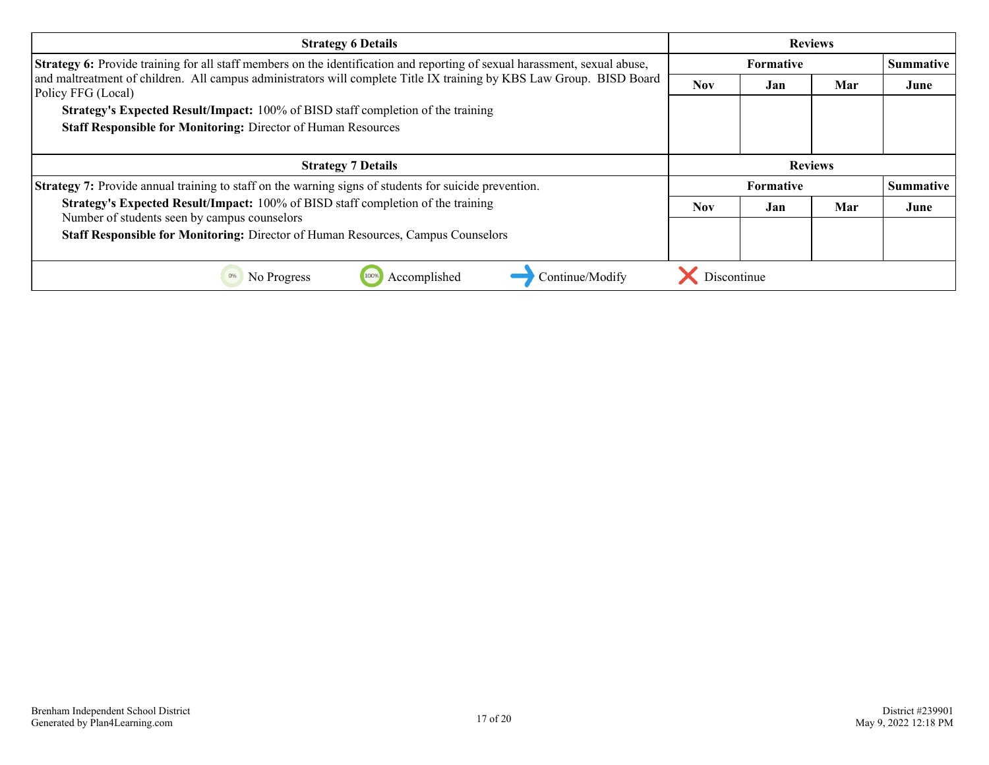| <b>Strategy 6 Details</b>                                                                                                                  | <b>Reviews</b>   |                  |                |                  |
|--------------------------------------------------------------------------------------------------------------------------------------------|------------------|------------------|----------------|------------------|
| Strategy 6: Provide training for all staff members on the identification and reporting of sexual harassment, sexual abuse,                 |                  | <b>Formative</b> |                |                  |
| and maltreatment of children. All campus administrators will complete Title IX training by KBS Law Group. BISD Board<br>Policy FFG (Local) | <b>Nov</b>       | Jan              | Mar            | June             |
| <b>Strategy's Expected Result/Impact:</b> 100% of BISD staff completion of the training                                                    |                  |                  |                |                  |
| <b>Staff Responsible for Monitoring: Director of Human Resources</b>                                                                       |                  |                  |                |                  |
|                                                                                                                                            |                  |                  |                |                  |
| <b>Strategy 7 Details</b>                                                                                                                  |                  |                  | <b>Reviews</b> |                  |
| <b>Strategy 7:</b> Provide annual training to staff on the warning signs of students for suicide prevention.                               | <b>Formative</b> |                  |                | <b>Summative</b> |
| <b>Strategy's Expected Result/Impact:</b> 100% of BISD staff completion of the training<br>Number of students seen by campus counselors    | <b>Nov</b>       | Jan              | Mar            | June             |
| Staff Responsible for Monitoring: Director of Human Resources, Campus Counselors                                                           |                  |                  |                |                  |
|                                                                                                                                            |                  |                  |                |                  |
| Accomplished<br>Continue/Modify<br>No Progress<br>0%                                                                                       | Discontinue      |                  |                |                  |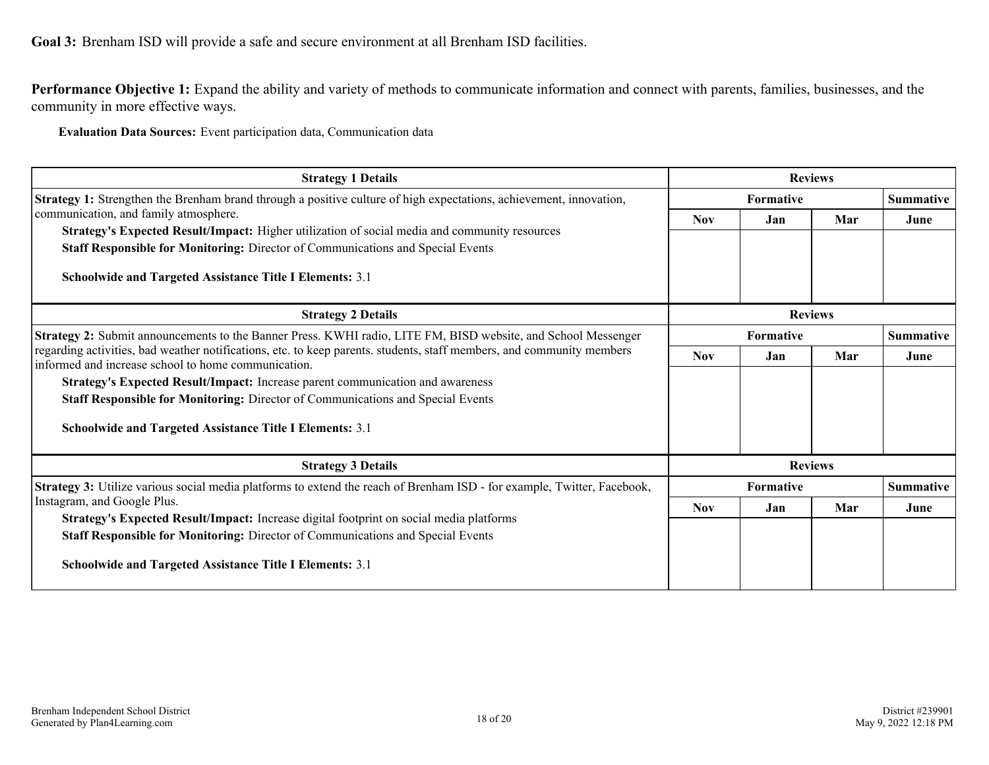<span id="page-17-0"></span>**Goal 3:** Brenham ISD will provide a safe and secure environment at all Brenham ISD facilities.

**Performance Objective 1:** Expand the ability and variety of methods to communicate information and connect with parents, families, businesses, and the community in more effective ways.

**Evaluation Data Sources:** Event participation data, Communication data

| <b>Strategy 1 Details</b>                                                                                                                                                                                                                           | <b>Reviews</b>   |     |                |                  |  |
|-----------------------------------------------------------------------------------------------------------------------------------------------------------------------------------------------------------------------------------------------------|------------------|-----|----------------|------------------|--|
| <b>Strategy 1:</b> Strengthen the Brenham brand through a positive culture of high expectations, achievement, innovation,                                                                                                                           | <b>Formative</b> |     |                | <b>Summative</b> |  |
| communication, and family atmosphere.                                                                                                                                                                                                               | <b>Nov</b>       | Jan | Mar            | June             |  |
| Strategy's Expected Result/Impact: Higher utilization of social media and community resources<br>Staff Responsible for Monitoring: Director of Communications and Special Events<br><b>Schoolwide and Targeted Assistance Title I Elements: 3.1</b> |                  |     |                |                  |  |
| <b>Strategy 2 Details</b>                                                                                                                                                                                                                           |                  |     | <b>Reviews</b> |                  |  |
| Strategy 2: Submit announcements to the Banner Press. KWHI radio, LITE FM, BISD website, and School Messenger                                                                                                                                       | <b>Formative</b> |     |                | <b>Summative</b> |  |
| regarding activities, bad weather notifications, etc. to keep parents. students, staff members, and community members<br>informed and increase school to home communication.                                                                        | <b>Nov</b>       | Jan | Mar            | June             |  |
| Strategy's Expected Result/Impact: Increase parent communication and awareness                                                                                                                                                                      |                  |     |                |                  |  |
| Staff Responsible for Monitoring: Director of Communications and Special Events                                                                                                                                                                     |                  |     |                |                  |  |
| <b>Schoolwide and Targeted Assistance Title I Elements: 3.1</b>                                                                                                                                                                                     |                  |     |                |                  |  |
| <b>Strategy 3 Details</b>                                                                                                                                                                                                                           | <b>Reviews</b>   |     |                |                  |  |
| <b>Strategy 3:</b> Utilize various social media platforms to extend the reach of Brenham ISD - for example, Twitter, Facebook,                                                                                                                      | <b>Formative</b> |     |                | <b>Summative</b> |  |
| Instagram, and Google Plus.                                                                                                                                                                                                                         | <b>Nov</b>       | Jan | Mar            | June             |  |
| Strategy's Expected Result/Impact: Increase digital footprint on social media platforms<br><b>Staff Responsible for Monitoring:</b> Director of Communications and Special Events                                                                   |                  |     |                |                  |  |
| <b>Schoolwide and Targeted Assistance Title I Elements: 3.1</b>                                                                                                                                                                                     |                  |     |                |                  |  |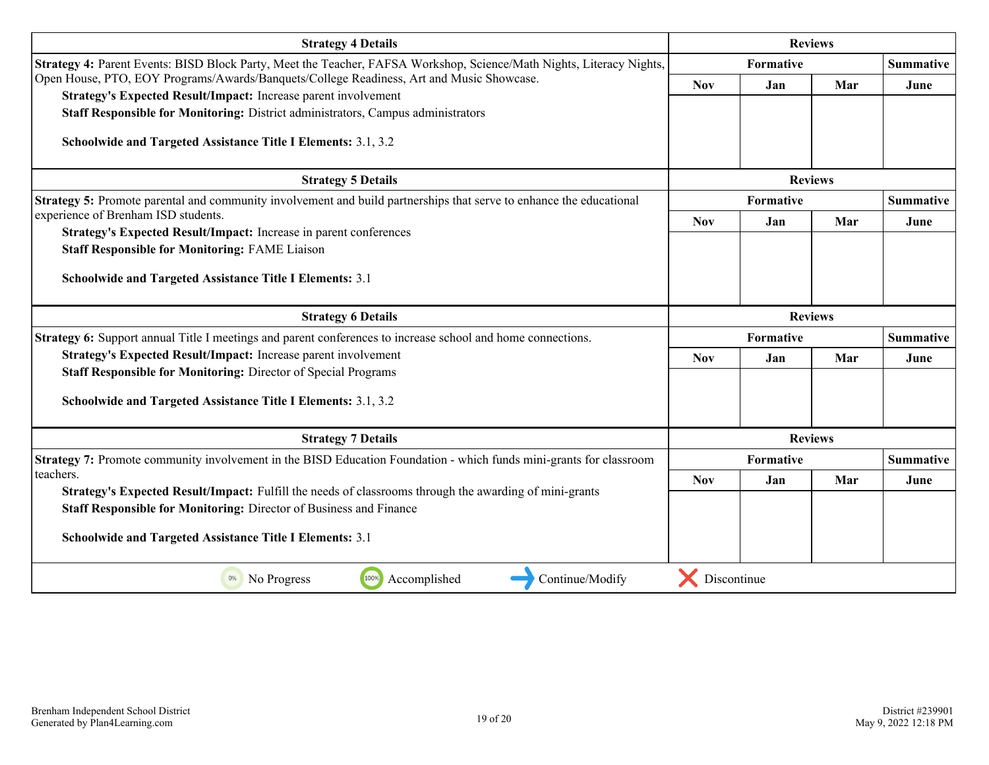| <b>Strategy 4 Details</b>                                                                                            | <b>Reviews</b>   |                  |                |                  |
|----------------------------------------------------------------------------------------------------------------------|------------------|------------------|----------------|------------------|
| Strategy 4: Parent Events: BISD Block Party, Meet the Teacher, FAFSA Workshop, Science/Math Nights, Literacy Nights, | Formative        |                  |                | <b>Summative</b> |
| Open House, PTO, EOY Programs/Awards/Banquets/College Readiness, Art and Music Showcase.                             | <b>Nov</b>       | Jan              | Mar            | June             |
| Strategy's Expected Result/Impact: Increase parent involvement                                                       |                  |                  |                |                  |
| Staff Responsible for Monitoring: District administrators, Campus administrators                                     |                  |                  |                |                  |
| Schoolwide and Targeted Assistance Title I Elements: 3.1, 3.2                                                        |                  |                  |                |                  |
| <b>Strategy 5 Details</b>                                                                                            |                  |                  | <b>Reviews</b> |                  |
| Strategy 5: Promote parental and community involvement and build partnerships that serve to enhance the educational  | <b>Formative</b> |                  |                | <b>Summative</b> |
| experience of Brenham ISD students.                                                                                  | <b>Nov</b>       | Jan              | Mar            | June             |
| Strategy's Expected Result/Impact: Increase in parent conferences                                                    |                  |                  |                |                  |
| <b>Staff Responsible for Monitoring: FAME Liaison</b>                                                                |                  |                  |                |                  |
| Schoolwide and Targeted Assistance Title I Elements: 3.1                                                             |                  |                  |                |                  |
|                                                                                                                      |                  |                  |                |                  |
| <b>Strategy 6 Details</b>                                                                                            | <b>Reviews</b>   |                  |                |                  |
| Strategy 6: Support annual Title I meetings and parent conferences to increase school and home connections.          |                  | <b>Formative</b> |                | <b>Summative</b> |
| Strategy's Expected Result/Impact: Increase parent involvement                                                       | <b>Nov</b>       | Jan              | Mar            | June             |
| <b>Staff Responsible for Monitoring: Director of Special Programs</b>                                                |                  |                  |                |                  |
| Schoolwide and Targeted Assistance Title I Elements: 3.1, 3.2                                                        |                  |                  |                |                  |
|                                                                                                                      |                  |                  |                |                  |
| <b>Strategy 7 Details</b>                                                                                            | <b>Reviews</b>   |                  |                |                  |
| Strategy 7: Promote community involvement in the BISD Education Foundation - which funds mini-grants for classroom   |                  | <b>Summative</b> |                |                  |
| teachers.                                                                                                            | <b>Nov</b>       | Jan              | Mar            | June             |
| Strategy's Expected Result/Impact: Fulfill the needs of classrooms through the awarding of mini-grants               |                  |                  |                |                  |
| Staff Responsible for Monitoring: Director of Business and Finance                                                   |                  |                  |                |                  |
| <b>Schoolwide and Targeted Assistance Title I Elements: 3.1</b>                                                      |                  |                  |                |                  |
|                                                                                                                      |                  |                  |                |                  |
| 100%<br>Accomplished<br>Continue/Modify<br>0%<br>No Progress                                                         | Discontinue      |                  |                |                  |